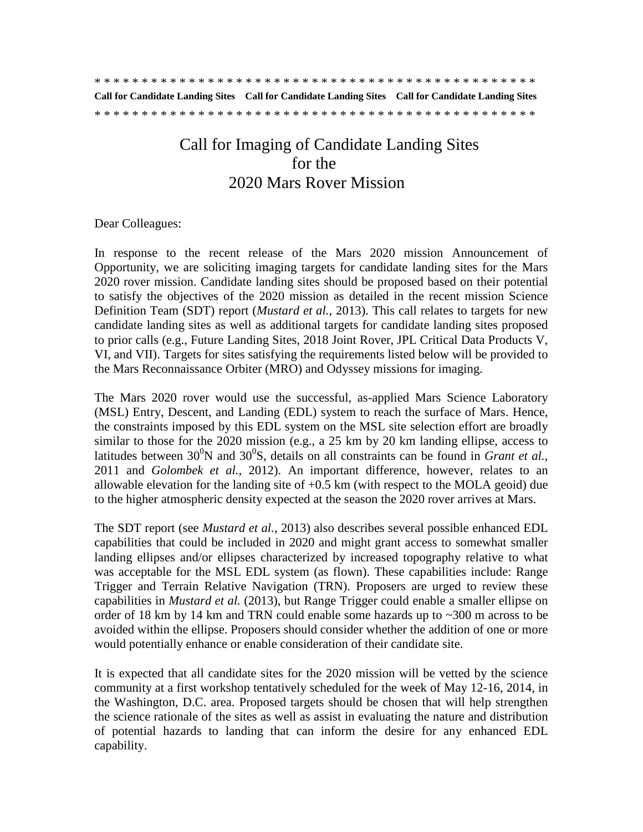|  |  |  |  |  |  |  |  |  |  |  |  |  |  |  |  |  |  |  |  |  |  |  | Call for Candidate Landing Sites Call for Candidate Landing Sites Call for Candidate Landing Sites |
|--|--|--|--|--|--|--|--|--|--|--|--|--|--|--|--|--|--|--|--|--|--|--|----------------------------------------------------------------------------------------------------|
|  |  |  |  |  |  |  |  |  |  |  |  |  |  |  |  |  |  |  |  |  |  |  |                                                                                                    |

# Call for Imaging of Candidate Landing Sites for the 2020 Mars Rover Mission

#### Dear Colleagues:

In response to the recent release of the Mars 2020 mission Announcement of Opportunity, we are soliciting imaging targets for candidate landing sites for the Mars 2020 rover mission. Candidate landing sites should be proposed based on their potential to satisfy the objectives of the 2020 mission as detailed in the recent mission Science Definition Team (SDT) report (*Mustard et al.,* 2013). This call relates to targets for new candidate landing sites as well as additional targets for candidate landing sites proposed to prior calls (e.g., Future Landing Sites, 2018 Joint Rover, JPL Critical Data Products V, VI, and VII). Targets for sites satisfying the requirements listed below will be provided to the Mars Reconnaissance Orbiter (MRO) and Odyssey missions for imaging.

The Mars 2020 rover would use the successful, as-applied Mars Science Laboratory (MSL) Entry, Descent, and Landing (EDL) system to reach the surface of Mars. Hence, the constraints imposed by this EDL system on the MSL site selection effort are broadly similar to those for the 2020 mission (e.g., a 25 km by 20 km landing ellipse, access to latitudes between  $30^0$ N and  $30^0$ S, details on all constraints can be found in *Grant et al.*, 2011 and *Golombek et al.,* 2012). An important difference, however, relates to an allowable elevation for the landing site of  $+0.5$  km (with respect to the MOLA geoid) due to the higher atmospheric density expected at the season the 2020 rover arrives at Mars.

The SDT report (see *Mustard et al.*, 2013) also describes several possible enhanced EDL capabilities that could be included in 2020 and might grant access to somewhat smaller landing ellipses and/or ellipses characterized by increased topography relative to what was acceptable for the MSL EDL system (as flown). These capabilities include: Range Trigger and Terrain Relative Navigation (TRN). Proposers are urged to review these capabilities in *Mustard et al.* (2013), but Range Trigger could enable a smaller ellipse on order of 18 km by 14 km and TRN could enable some hazards up to  $\sim$ 300 m across to be avoided within the ellipse. Proposers should consider whether the addition of one or more would potentially enhance or enable consideration of their candidate site.

It is expected that all candidate sites for the 2020 mission will be vetted by the science community at a first workshop tentatively scheduled for the week of May 12-16, 2014, in the Washington, D.C. area. Proposed targets should be chosen that will help strengthen the science rationale of the sites as well as assist in evaluating the nature and distribution of potential hazards to landing that can inform the desire for any enhanced EDL capability.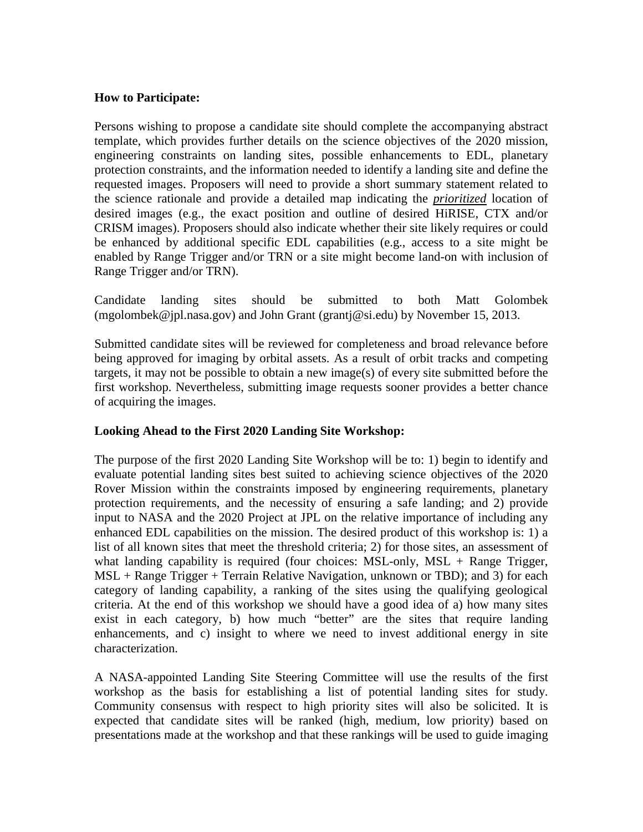## **How to Participate:**

Persons wishing to propose a candidate site should complete the accompanying abstract template, which provides further details on the science objectives of the 2020 mission, engineering constraints on landing sites, possible enhancements to EDL, planetary protection constraints, and the information needed to identify a landing site and define the requested images. Proposers will need to provide a short summary statement related to the science rationale and provide a detailed map indicating the *prioritized* location of desired images (e.g., the exact position and outline of desired HiRISE, CTX and/or CRISM images). Proposers should also indicate whether their site likely requires or could be enhanced by additional specific EDL capabilities (e.g., access to a site might be enabled by Range Trigger and/or TRN or a site might become land-on with inclusion of Range Trigger and/or TRN).

Candidate landing sites should be submitted to both Matt Golombek [\(mgolombek@jpl.nasa.gov\)](mailto:mgolombek@jpl.nasa.gov) and John Grant [\(grantj@si.edu\)](mailto:grantj@si.edu) by November 15, 2013.

Submitted candidate sites will be reviewed for completeness and broad relevance before being approved for imaging by orbital assets. As a result of orbit tracks and competing targets, it may not be possible to obtain a new image(s) of every site submitted before the first workshop. Nevertheless, submitting image requests sooner provides a better chance of acquiring the images.

## **Looking Ahead to the First 2020 Landing Site Workshop:**

The purpose of the first 2020 Landing Site Workshop will be to: 1) begin to identify and evaluate potential landing sites best suited to achieving science objectives of the 2020 Rover Mission within the constraints imposed by engineering requirements, planetary protection requirements, and the necessity of ensuring a safe landing; and 2) provide input to NASA and the 2020 Project at JPL on the relative importance of including any enhanced EDL capabilities on the mission. The desired product of this workshop is: 1) a list of all known sites that meet the threshold criteria; 2) for those sites, an assessment of what landing capability is required (four choices:  $MSL$ -only,  $MSL + Range$  Trigger, MSL + Range Trigger + Terrain Relative Navigation, unknown or TBD); and 3) for each category of landing capability, a ranking of the sites using the qualifying geological criteria. At the end of this workshop we should have a good idea of a) how many sites exist in each category, b) how much "better" are the sites that require landing enhancements, and c) insight to where we need to invest additional energy in site characterization.

A NASA-appointed Landing Site Steering Committee will use the results of the first workshop as the basis for establishing a list of potential landing sites for study. Community consensus with respect to high priority sites will also be solicited. It is expected that candidate sites will be ranked (high, medium, low priority) based on presentations made at the workshop and that these rankings will be used to guide imaging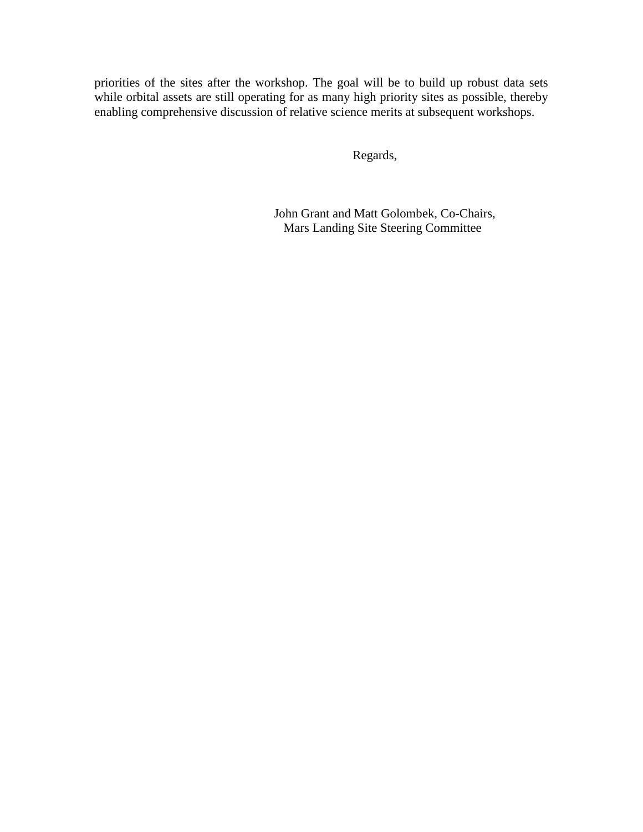priorities of the sites after the workshop. The goal will be to build up robust data sets while orbital assets are still operating for as many high priority sites as possible, thereby enabling comprehensive discussion of relative science merits at subsequent workshops.

Regards,

 John Grant and Matt Golombek, Co-Chairs, Mars Landing Site Steering Committee